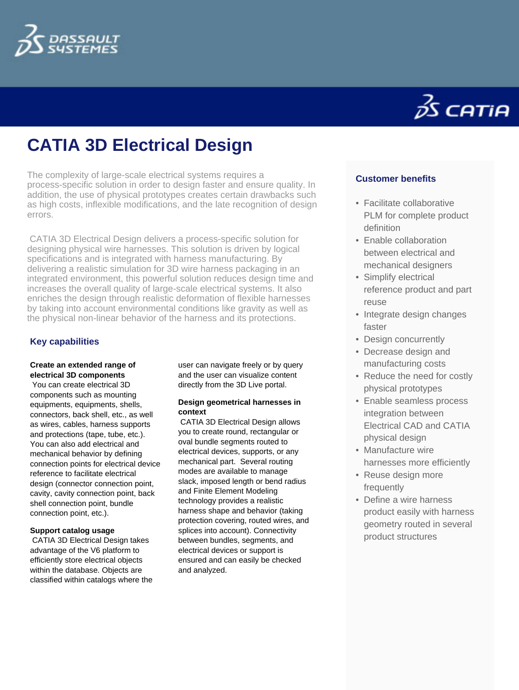

# **CATIA 3D Electrical Design**

The complexity of large-scale electrical systems requires a process-specific solution in order to design faster and ensure quality. In addition, the use of physical prototypes creates certain drawbacks such as high costs, inflexible modifications, and the late recognition of design errors.

 CATIA 3D Electrical Design delivers a process-specific solution for designing physical wire harnesses. This solution is driven by logical specifications and is integrated with harness manufacturing. By delivering a realistic simulation for 3D wire harness packaging in an integrated environment, this powerful solution reduces design time and increases the overall quality of large-scale electrical systems. It also enriches the design through realistic deformation of flexible harnesses by taking into account environmental conditions like gravity as well as the physical non-linear behavior of the harness and its protections.

## **Key capabilities**

#### **Create an extended range of electrical 3D components**

 You can create electrical 3D components such as mounting equipments, equipments, shells, connectors, back shell, etc., as well as wires, cables, harness supports and protections (tape, tube, etc.). You can also add electrical and mechanical behavior by defining connection points for electrical device reference to facilitate electrical design (connector connection point, cavity, cavity connection point, back shell connection point, bundle connection point, etc.).

### **Support catalog usage**

 CATIA 3D Electrical Design takes advantage of the V6 platform to efficiently store electrical objects within the database. Objects are classified within catalogs where the user can navigate freely or by query and the user can visualize content directly from the 3D Live portal.

#### **Design geometrical harnesses in context**

 CATIA 3D Electrical Design allows you to create round, rectangular or oval bundle segments routed to electrical devices, supports, or any mechanical part. Several routing modes are available to manage slack, imposed length or bend radius and Finite Element Modeling technology provides a realistic harness shape and behavior (taking protection covering, routed wires, and splices into account). Connectivity between bundles, segments, and electrical devices or support is ensured and can easily be checked and analyzed.



## **Customer benefits**

- Facilitate collaborative PLM for complete product definition
- Enable collaboration between electrical and mechanical designers
- Simplify electrical reference product and part reuse
- Integrate design changes faster
- Design concurrently
- Decrease design and manufacturing costs
- Reduce the need for costly physical prototypes
- Enable seamless process integration between Electrical CAD and CATIA physical design
- Manufacture wire harnesses more efficiently
- Reuse design more frequently
- Define a wire harness product easily with harness geometry routed in several product structures